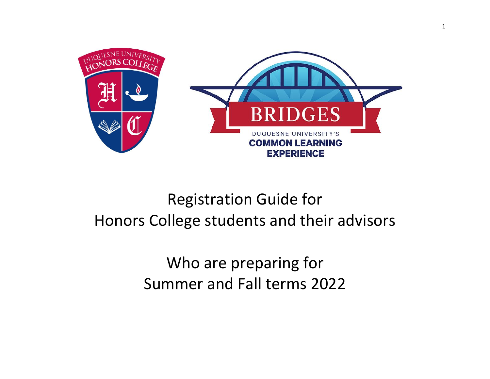

# Registration Guide for Honors College students and their advisors

Who are preparing for Summer and Fall terms 2022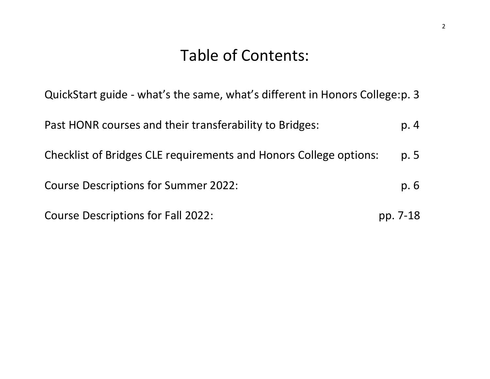## Table of Contents:

QuickStart guide - what's the same, what's different in Honors College:p. 3

Past HONR courses and their transferability to Bridges: p. 4 Checklist of Bridges CLE requirements and Honors College options: p. 5 Course Descriptions for Summer 2022: p. 6 Course Descriptions for Fall 2022: pp. 7-18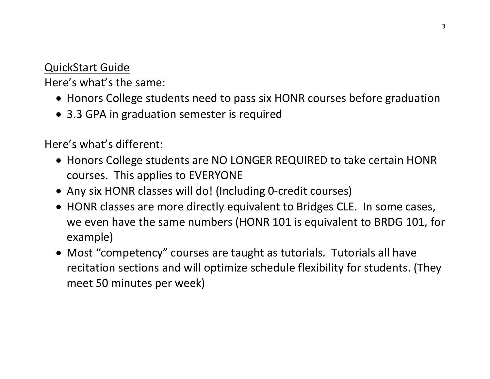#### QuickStart Guide

Here's what's the same:

- Honors College students need to pass six HONR courses before graduation
- 3.3 GPA in graduation semester is required

Here's what's different:

- Honors College students are NO LONGER REQUIRED to take certain HONR courses. This applies to EVERYONE
- Any six HONR classes will do! (Including 0-credit courses)
- HONR classes are more directly equivalent to Bridges CLE. In some cases, we even have the same numbers (HONR 101 is equivalent to BRDG 101, for example)
- Most "competency" courses are taught as tutorials. Tutorials all have recitation sections and will optimize schedule flexibility for students. (They meet 50 minutes per week)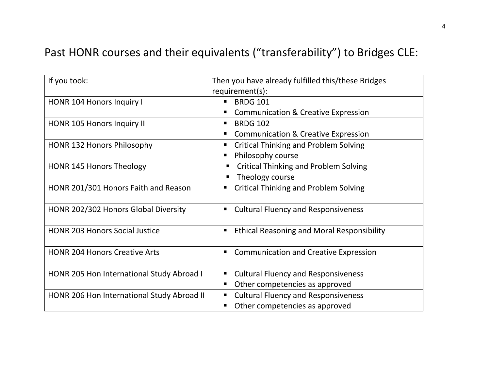### Past HONR courses and their equivalents ("transferability") to Bridges CLE:

| If you took:                               | Then you have already fulfilled this/these Bridges     |
|--------------------------------------------|--------------------------------------------------------|
|                                            | requirement(s):                                        |
| <b>HONR 104 Honors Inquiry I</b>           | <b>BRDG 101</b>                                        |
|                                            | <b>Communication &amp; Creative Expression</b><br>п    |
| HONR 105 Honors Inquiry II                 | <b>BRDG 102</b><br>$\blacksquare$                      |
|                                            | <b>Communication &amp; Creative Expression</b><br>■    |
| <b>HONR 132 Honors Philosophy</b>          | <b>Critical Thinking and Problem Solving</b><br>٠      |
|                                            | Philosophy course<br>п                                 |
| <b>HONR 145 Honors Theology</b>            | <b>Critical Thinking and Problem Solving</b>           |
|                                            | Theology course                                        |
| HONR 201/301 Honors Faith and Reason       | <b>Critical Thinking and Problem Solving</b><br>п      |
| HONR 202/302 Honors Global Diversity       | <b>Cultural Fluency and Responsiveness</b><br>٠        |
| <b>HONR 203 Honors Social Justice</b>      | <b>Ethical Reasoning and Moral Responsibility</b><br>п |
| <b>HONR 204 Honors Creative Arts</b>       | <b>Communication and Creative Expression</b><br>п      |
| HONR 205 Hon International Study Abroad I  | <b>Cultural Fluency and Responsiveness</b><br>п        |
|                                            | Other competencies as approved<br>п                    |
| HONR 206 Hon International Study Abroad II | <b>Cultural Fluency and Responsiveness</b><br>п        |
|                                            | Other competencies as approved                         |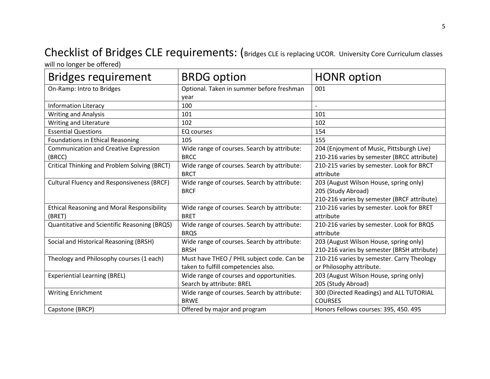# Checklist of Bridges CLE requirements: (Bridges CLE is replacing UCOR. University Core Curriculum classes

will no longer be offered)

| <b>Bridges requirement</b>                                  | <b>BRDG</b> option                                                                | <b>HONR</b> option                                                                                          |
|-------------------------------------------------------------|-----------------------------------------------------------------------------------|-------------------------------------------------------------------------------------------------------------|
| On-Ramp: Intro to Bridges                                   | Optional. Taken in summer before freshman<br>year                                 | 001                                                                                                         |
| <b>Information Literacy</b>                                 | 100                                                                               |                                                                                                             |
| <b>Writing and Analysis</b>                                 | 101                                                                               | 101                                                                                                         |
| Writing and Literature                                      | 102                                                                               | 102                                                                                                         |
| <b>Essential Questions</b>                                  | EQ courses                                                                        | 154                                                                                                         |
| <b>Foundations in Ethical Reasoning</b>                     | 105                                                                               | 155                                                                                                         |
| <b>Communication and Creative Expression</b><br>(BRCC)      | Wide range of courses. Search by attribute:<br><b>BRCC</b>                        | 204 (Enjoyment of Music, Pittsburgh Live)<br>210-216 varies by semester (BRCC attribute)                    |
| Critical Thinking and Problem Solving (BRCT)                | Wide range of courses. Search by attribute:<br><b>BRCT</b>                        | 210-215 varies by semester. Look for BRCT<br>attribute                                                      |
| <b>Cultural Fluency and Responsiveness (BRCF)</b>           | Wide range of courses. Search by attribute:<br><b>BRCF</b>                        | 203 (August Wilson House, spring only)<br>205 (Study Abroad)<br>210-216 varies by semester (BRCF attribute) |
| <b>Ethical Reasoning and Moral Responsibility</b><br>(BRET) | Wide range of courses. Search by attribute:<br><b>BRET</b>                        | 210-216 varies by semester. Look for BRET<br>attribute                                                      |
| Quantitative and Scientific Reasoning (BRQS)                | Wide range of courses. Search by attribute:<br><b>BRQS</b>                        | 210-216 varies by semester. Look for BRQS<br>attribute                                                      |
| Social and Historical Reasoning (BRSH)                      | Wide range of courses. Search by attribute:<br><b>BRSH</b>                        | 203 (August Wilson House, spring only)<br>210-216 varies by semester (BRSH attribute)                       |
| Theology and Philosophy courses (1 each)                    | Must have THEO / PHIL subject code. Can be<br>taken to fulfill competencies also. | 210-216 varies by semester. Carry Theology<br>or Philosophy attribute.                                      |
| <b>Experiential Learning (BREL)</b>                         | Wide range of courses and opportunities.<br>Search by attribute: BREL             | 203 (August Wilson House, spring only)<br>205 (Study Abroad)                                                |
| <b>Writing Enrichment</b>                                   | Wide range of courses. Search by attribute:<br><b>BRWE</b>                        | 300 (Directed Readings) and ALL TUTORIAL<br><b>COURSES</b>                                                  |
| Capstone (BRCP)                                             | Offered by major and program                                                      | Honors Fellows courses: 395, 450. 495                                                                       |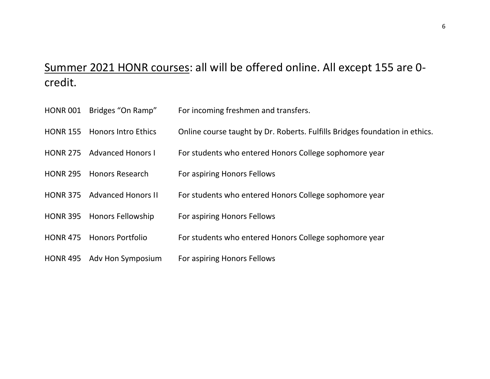#### Summer 2021 HONR courses: all will be offered online. All except 155 are 0 credit.

- HONR 001 Bridges "On Ramp" For incoming freshmen and transfers.
- HONR 155 Honors Intro Ethics Online course taught by Dr. Roberts. Fulfills Bridges foundation in ethics.
- HONR 275 Advanced Honors I For students who entered Honors College sophomore year
- HONR 295 Honors Research For aspiring Honors Fellows
- HONR 375 Advanced Honors II For students who entered Honors College sophomore year
- HONR 395 Honors Fellowship For aspiring Honors Fellows
- HONR 475 Honors Portfolio For students who entered Honors College sophomore year
- HONR 495 Adv Hon Symposium For aspiring Honors Fellows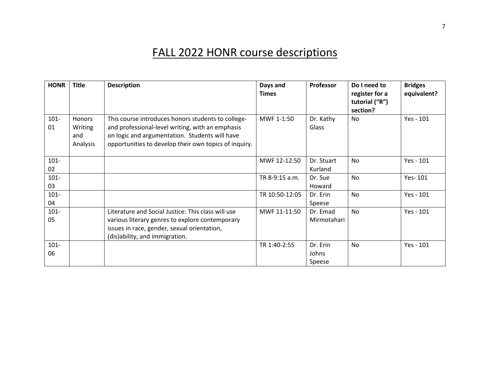### FALL 2022 HONR course descriptions

| <b>HONR</b>   | <b>Title</b>                                | <b>Description</b>                                                                                                                                                                                                | Days and<br><b>Times</b> | <b>Professor</b>            | Do I need to<br>register for a<br>tutorial ("R")<br>section? | <b>Bridges</b><br>equivalent? |
|---------------|---------------------------------------------|-------------------------------------------------------------------------------------------------------------------------------------------------------------------------------------------------------------------|--------------------------|-----------------------------|--------------------------------------------------------------|-------------------------------|
| $101 -$<br>01 | <b>Honors</b><br>Writing<br>and<br>Analysis | This course introduces honors students to college-<br>and professional-level writing, with an emphasis<br>on logic and argumentation. Students will have<br>opportunities to develop their own topics of inquiry. | MWF 1-1:50               | Dr. Kathy<br>Glass          | No                                                           | Yes - 101                     |
| $101 -$<br>02 |                                             |                                                                                                                                                                                                                   | MWF 12-12:50             | Dr. Stuart<br>Kurland       | <b>No</b>                                                    | Yes - 101                     |
| $101 -$<br>03 |                                             |                                                                                                                                                                                                                   | TR 8-9:15 a.m.           | Dr. Sue<br>Howard           | No                                                           | Yes-101                       |
| $101 -$<br>04 |                                             |                                                                                                                                                                                                                   | TR 10:50-12:05           | Dr. Erin<br>Speese          | No                                                           | Yes - 101                     |
| $101 -$<br>05 |                                             | Literature and Social Justice: This class will use<br>various literary genres to explore contemporary<br>issues in race, gender, sexual orientation,<br>(dis)ability, and immigration.                            | MWF 11-11:50             | Dr. Emad<br>Mirmotahari     | <b>No</b>                                                    | Yes - 101                     |
| $101 -$<br>06 |                                             |                                                                                                                                                                                                                   | TR 1:40-2:55             | Dr. Erin<br>Johns<br>Speese | <b>No</b>                                                    | Yes - 101                     |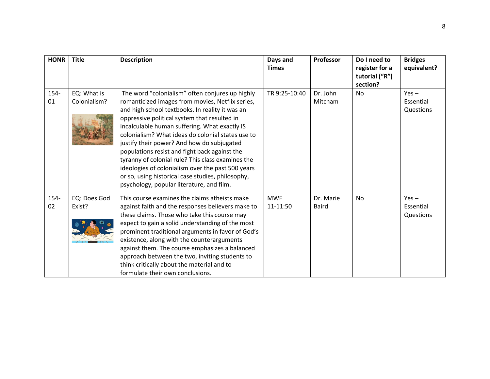| <b>HONR</b>   | <b>Title</b>                | <b>Description</b>                                                                                                                                                                                                                                                                                                                                                                                                                                                                                                                                                                                                      | Days and<br><b>Times</b> | Professor                 | Do I need to<br>register for a<br>tutorial ("R")<br>section? | <b>Bridges</b><br>equivalent?     |
|---------------|-----------------------------|-------------------------------------------------------------------------------------------------------------------------------------------------------------------------------------------------------------------------------------------------------------------------------------------------------------------------------------------------------------------------------------------------------------------------------------------------------------------------------------------------------------------------------------------------------------------------------------------------------------------------|--------------------------|---------------------------|--------------------------------------------------------------|-----------------------------------|
| $154 -$<br>01 | EQ: What is<br>Colonialism? | The word "colonialism" often conjures up highly<br>romanticized images from movies, Netflix series,<br>and high school textbooks. In reality it was an<br>oppressive political system that resulted in<br>incalculable human suffering. What exactly IS<br>colonialism? What ideas do colonial states use to<br>justify their power? And how do subjugated<br>populations resist and fight back against the<br>tyranny of colonial rule? This class examines the<br>ideologies of colonialism over the past 500 years<br>or so, using historical case studies, philosophy,<br>psychology, popular literature, and film. | TR 9:25-10:40            | Dr. John<br>Mitcham       | <b>No</b>                                                    | $Yes -$<br>Essential<br>Questions |
| $154 -$<br>02 | EQ: Does God<br>Exist?      | This course examines the claims atheists make<br>against faith and the responses believers make to<br>these claims. Those who take this course may<br>expect to gain a solid understanding of the most<br>prominent traditional arguments in favor of God's<br>existence, along with the counterarguments<br>against them. The course emphasizes a balanced<br>approach between the two, inviting students to<br>think critically about the material and to<br>formulate their own conclusions.                                                                                                                         | <b>MWF</b><br>11-11:50   | Dr. Marie<br><b>Baird</b> | No                                                           | $Yes -$<br>Essential<br>Questions |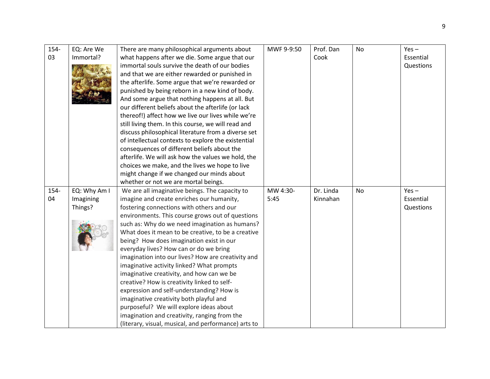| 154- | EQ: Are We   | There are many philosophical arguments about                                                         | MWF 9-9:50 | Prof. Dan | <b>No</b> | $Yes -$   |
|------|--------------|------------------------------------------------------------------------------------------------------|------------|-----------|-----------|-----------|
| 03   | Immortal?    | what happens after we die. Some argue that our                                                       |            | Cook      |           | Essential |
|      |              | immortal souls survive the death of our bodies                                                       |            |           |           | Questions |
|      |              | and that we are either rewarded or punished in                                                       |            |           |           |           |
|      |              | the afterlife. Some argue that we're rewarded or                                                     |            |           |           |           |
|      |              | punished by being reborn in a new kind of body.                                                      |            |           |           |           |
|      |              | And some argue that nothing happens at all. But                                                      |            |           |           |           |
|      |              | our different beliefs about the afterlife (or lack                                                   |            |           |           |           |
|      |              | thereof!) affect how we live our lives while we're                                                   |            |           |           |           |
|      |              | still living them. In this course, we will read and                                                  |            |           |           |           |
|      |              | discuss philosophical literature from a diverse set                                                  |            |           |           |           |
|      |              | of intellectual contexts to explore the existential                                                  |            |           |           |           |
|      |              | consequences of different beliefs about the                                                          |            |           |           |           |
|      |              | afterlife. We will ask how the values we hold, the                                                   |            |           |           |           |
|      |              | choices we make, and the lives we hope to live                                                       |            |           |           |           |
|      |              | might change if we changed our minds about                                                           |            |           |           |           |
|      |              | whether or not we are mortal beings.                                                                 |            |           |           |           |
|      |              |                                                                                                      |            |           |           |           |
| 154- | EQ: Why Am I | We are all imaginative beings. The capacity to                                                       | MW 4:30-   | Dr. Linda | <b>No</b> | $Yes -$   |
| 04   | Imagining    | imagine and create enriches our humanity,                                                            | 5:45       | Kinnahan  |           | Essential |
|      | Things?      | fostering connections with others and our                                                            |            |           |           | Questions |
|      |              | environments. This course grows out of questions                                                     |            |           |           |           |
|      |              | such as: Why do we need imagination as humans?                                                       |            |           |           |           |
|      |              | What does it mean to be creative, to be a creative                                                   |            |           |           |           |
|      |              | being? How does imagination exist in our                                                             |            |           |           |           |
|      |              | everyday lives? How can or do we bring                                                               |            |           |           |           |
|      |              | imagination into our lives? How are creativity and                                                   |            |           |           |           |
|      |              | imaginative activity linked? What prompts                                                            |            |           |           |           |
|      |              | imaginative creativity, and how can we be                                                            |            |           |           |           |
|      |              | creative? How is creativity linked to self-                                                          |            |           |           |           |
|      |              | expression and self-understanding? How is                                                            |            |           |           |           |
|      |              | imaginative creativity both playful and                                                              |            |           |           |           |
|      |              | purposeful? We will explore ideas about                                                              |            |           |           |           |
|      |              | imagination and creativity, ranging from the<br>(literary, visual, musical, and performance) arts to |            |           |           |           |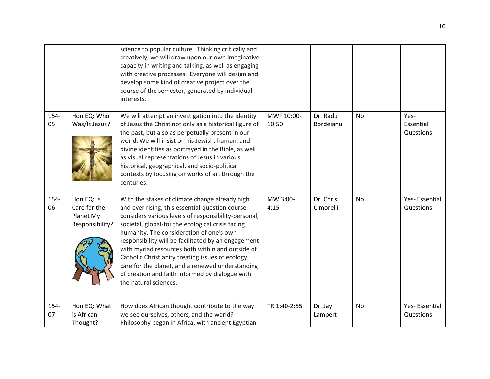|            |                                                            | science to popular culture. Thinking critically and<br>creatively, we will draw upon our own imaginative<br>capacity in writing and talking, as well as engaging<br>with creative processes. Everyone will design and<br>develop some kind of creative project over the<br>course of the semester, generated by individual<br>interests.                                                                                                                                                                                                                   |                     |                        |           |                                |
|------------|------------------------------------------------------------|------------------------------------------------------------------------------------------------------------------------------------------------------------------------------------------------------------------------------------------------------------------------------------------------------------------------------------------------------------------------------------------------------------------------------------------------------------------------------------------------------------------------------------------------------------|---------------------|------------------------|-----------|--------------------------------|
| 154-<br>05 | Hon EQ: Who<br>Was/Is Jesus?                               | We will attempt an investigation into the identity<br>of Jesus the Christ not only as a historical figure of<br>the past, but also as perpetually present in our<br>world. We will insist on his Jewish, human, and<br>divine identities as portrayed in the Bible, as well<br>as visual representations of Jesus in various<br>historical, geographical, and socio-political<br>contexts by focusing on works of art through the<br>centuries.                                                                                                            | MWF 10:00-<br>10:50 | Dr. Radu<br>Bordeianu  | <b>No</b> | Yes-<br>Essential<br>Questions |
| 154-<br>06 | Hon EQ: Is<br>Care for the<br>Planet My<br>Responsibility? | With the stakes of climate change already high<br>and ever rising, this essential-question course<br>considers various levels of responsibility-personal,<br>societal, global-for the ecological crisis facing<br>humanity. The consideration of one's own<br>responsibility will be facilitated by an engagement<br>with myriad resources both within and outside of<br>Catholic Christianity treating issues of ecology,<br>care for the planet, and a renewed understanding<br>of creation and faith informed by dialogue with<br>the natural sciences. | MW 3:00-<br>4:15    | Dr. Chris<br>Cimorelli | <b>No</b> | Yes-Essential<br>Questions     |
| 154-<br>07 | Hon EQ: What<br>is African<br>Thought?                     | How does African thought contribute to the way<br>we see ourselves, others, and the world?<br>Philosophy began in Africa, with ancient Egyptian                                                                                                                                                                                                                                                                                                                                                                                                            | TR 1:40-2:55        | Dr. Jay<br>Lampert     | <b>No</b> | Yes-Essential<br>Questions     |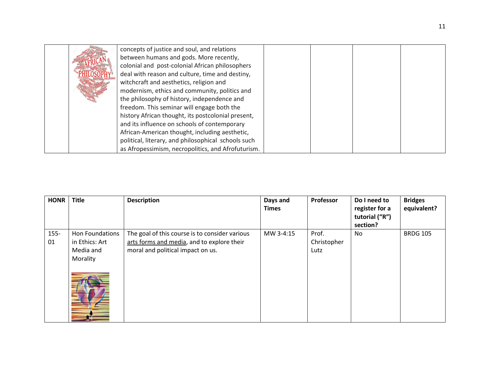|  | concepts of justice and soul, and relations         |  |  |
|--|-----------------------------------------------------|--|--|
|  | between humans and gods. More recently,             |  |  |
|  | colonial and post-colonial African philosophers     |  |  |
|  | deal with reason and culture, time and destiny,     |  |  |
|  | witchcraft and aesthetics, religion and             |  |  |
|  | modernism, ethics and community, politics and       |  |  |
|  | the philosophy of history, independence and         |  |  |
|  | freedom. This seminar will engage both the          |  |  |
|  | history African thought, its postcolonial present,  |  |  |
|  | and its influence on schools of contemporary        |  |  |
|  | African-American thought, including aesthetic,      |  |  |
|  | political, literary, and philosophical schools such |  |  |
|  | as Afropessimism, necropolitics, and Afrofuturism.  |  |  |

| <b>HONR</b> | <b>Title</b>    | <b>Description</b>                             | Days and<br><b>Times</b> | Professor   | Do I need to<br>register for a<br>tutorial ("R")<br>section? | <b>Bridges</b><br>equivalent? |
|-------------|-----------------|------------------------------------------------|--------------------------|-------------|--------------------------------------------------------------|-------------------------------|
| $155 -$     | Hon Foundations | The goal of this course is to consider various | MW 3-4:15                | Prof.       | No                                                           | <b>BRDG 105</b>               |
| 01          | in Ethics: Art  | arts forms and media, and to explore their     |                          | Christopher |                                                              |                               |
|             | Media and       | moral and political impact on us.              |                          | Lutz        |                                                              |                               |
|             | Morality        |                                                |                          |             |                                                              |                               |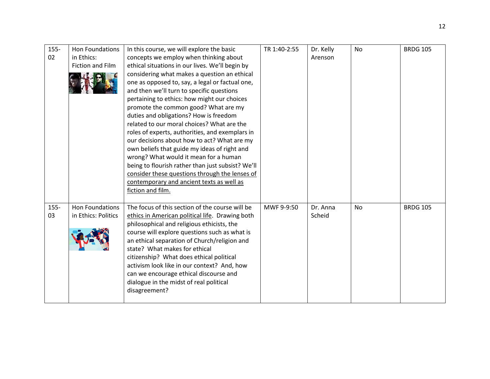| $155 -$ | <b>Hon Foundations</b> | In this course, we will explore the basic         | TR 1:40-2:55 | Dr. Kelly | No        | <b>BRDG 105</b> |
|---------|------------------------|---------------------------------------------------|--------------|-----------|-----------|-----------------|
| 02      | in Ethics:             | concepts we employ when thinking about            |              | Arenson   |           |                 |
|         | Fiction and Film       | ethical situations in our lives. We'll begin by   |              |           |           |                 |
|         |                        | considering what makes a question an ethical      |              |           |           |                 |
|         |                        | one as opposed to, say, a legal or factual one,   |              |           |           |                 |
|         |                        | and then we'll turn to specific questions         |              |           |           |                 |
|         |                        | pertaining to ethics: how might our choices       |              |           |           |                 |
|         |                        | promote the common good? What are my              |              |           |           |                 |
|         |                        | duties and obligations? How is freedom            |              |           |           |                 |
|         |                        | related to our moral choices? What are the        |              |           |           |                 |
|         |                        | roles of experts, authorities, and exemplars in   |              |           |           |                 |
|         |                        | our decisions about how to act? What are my       |              |           |           |                 |
|         |                        | own beliefs that guide my ideas of right and      |              |           |           |                 |
|         |                        | wrong? What would it mean for a human             |              |           |           |                 |
|         |                        | being to flourish rather than just subsist? We'll |              |           |           |                 |
|         |                        | consider these questions through the lenses of    |              |           |           |                 |
|         |                        | contemporary and ancient texts as well as         |              |           |           |                 |
|         |                        | fiction and film.                                 |              |           |           |                 |
|         |                        |                                                   |              |           |           |                 |
| $155 -$ | Hon Foundations        | The focus of this section of the course will be   | MWF 9-9:50   | Dr. Anna  | <b>No</b> | <b>BRDG 105</b> |
| 03      | in Ethics: Politics    | ethics in American political life. Drawing both   |              | Scheid    |           |                 |
|         |                        | philosophical and religious ethicists, the        |              |           |           |                 |
|         |                        | course will explore questions such as what is     |              |           |           |                 |
|         |                        | an ethical separation of Church/religion and      |              |           |           |                 |
|         |                        | state? What makes for ethical                     |              |           |           |                 |
|         |                        | citizenship? What does ethical political          |              |           |           |                 |
|         |                        | activism look like in our context? And, how       |              |           |           |                 |
|         |                        | can we encourage ethical discourse and            |              |           |           |                 |
|         |                        | dialogue in the midst of real political           |              |           |           |                 |
|         |                        | disagreement?                                     |              |           |           |                 |
|         |                        |                                                   |              |           |           |                 |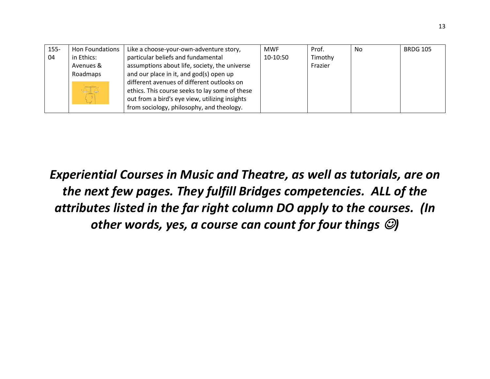| $155 -$ | Hon Foundations        | Like a choose-your-own-adventure story,        | <b>MWF</b> | Prof.   | No | <b>BRDG 105</b> |
|---------|------------------------|------------------------------------------------|------------|---------|----|-----------------|
| 04      | in Ethics:             | particular beliefs and fundamental             | 10-10:50   | Timothy |    |                 |
|         | Avenues &              | assumptions about life, society, the universe  |            | Frazier |    |                 |
|         | Roadmaps               | and our place in it, and god(s) open up        |            |         |    |                 |
|         |                        | different avenues of different outlooks on     |            |         |    |                 |
|         | $\triangle \mathbb{Z}$ | ethics. This course seeks to lay some of these |            |         |    |                 |
|         |                        | out from a bird's eye view, utilizing insights |            |         |    |                 |
|         |                        | from sociology, philosophy, and theology.      |            |         |    |                 |

*Experiential Courses in Music and Theatre, as well as tutorials, are on the next few pages. They fulfill Bridges competencies. ALL of the attributes listed in the far right column DO apply to the courses. (In other words, yes, a course can count for four things* ☺*)*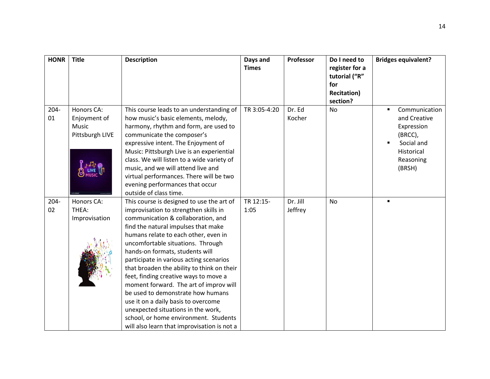| <b>HONR</b>   | <b>Title</b>                                                                                  | <b>Description</b>                                                                                                                                                                                                                                                                                                                                                                                                                                                                                                                                                                                                                                                    | Days and<br><b>Times</b> | Professor           | Do I need to<br>register for a<br>tutorial ("R"<br>for<br><b>Recitation</b> )<br>section? | <b>Bridges equivalent?</b>                                                                                                  |
|---------------|-----------------------------------------------------------------------------------------------|-----------------------------------------------------------------------------------------------------------------------------------------------------------------------------------------------------------------------------------------------------------------------------------------------------------------------------------------------------------------------------------------------------------------------------------------------------------------------------------------------------------------------------------------------------------------------------------------------------------------------------------------------------------------------|--------------------------|---------------------|-------------------------------------------------------------------------------------------|-----------------------------------------------------------------------------------------------------------------------------|
| $204 -$<br>01 | Honors CA:<br>Enjoyment of<br><b>Music</b><br>Pittsburgh LIVE<br>$1 - 7 - 6$<br><b>B</b> LIVE | This course leads to an understanding of<br>how music's basic elements, melody,<br>harmony, rhythm and form, are used to<br>communicate the composer's<br>expressive intent. The Enjoyment of<br>Music: Pittsburgh Live is an experiential<br>class. We will listen to a wide variety of<br>music, and we will attend live and<br>virtual performances. There will be two<br>evening performances that occur<br>outside of class time.                                                                                                                                                                                                                                | TR 3:05-4:20             | Dr. Ed<br>Kocher    | <b>No</b>                                                                                 | Communication<br>$\blacksquare$<br>and Creative<br>Expression<br>(BRCC),<br>Social and<br>Historical<br>Reasoning<br>(BRSH) |
| $204 -$<br>02 | Honors CA:<br>THEA:<br>Improvisation                                                          | This course is designed to use the art of<br>improvisation to strengthen skills in<br>communication & collaboration, and<br>find the natural impulses that make<br>humans relate to each other, even in<br>uncomfortable situations. Through<br>hands-on formats, students will<br>participate in various acting scenarios<br>that broaden the ability to think on their<br>feet, finding creative ways to move a<br>moment forward. The art of improv will<br>be used to demonstrate how humans<br>use it on a daily basis to overcome<br>unexpected situations in the work,<br>school, or home environment. Students<br>will also learn that improvisation is not a | TR 12:15-<br>1:05        | Dr. Jill<br>Jeffrey | <b>No</b>                                                                                 |                                                                                                                             |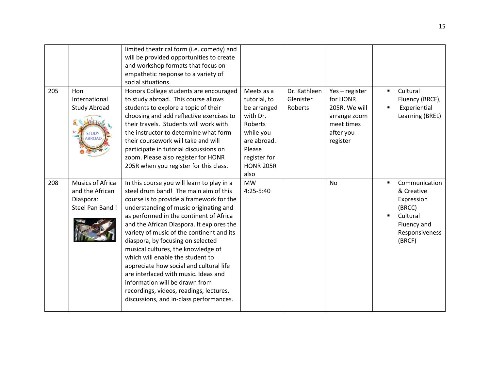| 205 | Hon<br>International<br><b>Study Abroad</b><br><b>STUDY</b><br><b>ABROAD</b> | limited theatrical form (i.e. comedy) and<br>will be provided opportunities to create<br>and workshop formats that focus on<br>empathetic response to a variety of<br>social situations.<br>Honors College students are encouraged<br>to study abroad. This course allows<br>students to explore a topic of their<br>choosing and add reflective exercises to<br>their travels. Students will work with<br>the instructor to determine what form<br>their coursework will take and will<br>participate in tutorial discussions on<br>zoom. Please also register for HONR<br>205R when you register for this class.                       | Meets as a<br>tutorial, to<br>be arranged<br>with Dr.<br>Roberts<br>while you<br>are abroad.<br>Please<br>register for<br><b>HONR 205R</b><br>also | Dr. Kathleen<br>Glenister<br>Roberts | Yes-register<br>for HONR<br>205R. We will<br>arrange zoom<br>meet times<br>after you<br>register | Cultural<br>$\blacksquare$<br>Fluency (BRCF),<br>Experiential<br>Learning (BREL)                           |
|-----|------------------------------------------------------------------------------|------------------------------------------------------------------------------------------------------------------------------------------------------------------------------------------------------------------------------------------------------------------------------------------------------------------------------------------------------------------------------------------------------------------------------------------------------------------------------------------------------------------------------------------------------------------------------------------------------------------------------------------|----------------------------------------------------------------------------------------------------------------------------------------------------|--------------------------------------|--------------------------------------------------------------------------------------------------|------------------------------------------------------------------------------------------------------------|
| 208 | Musics of Africa<br>and the African<br>Diaspora:<br>Steel Pan Band !         | In this course you will learn to play in a<br>steel drum band! The main aim of this<br>course is to provide a framework for the<br>understanding of music originating and<br>as performed in the continent of Africa<br>and the African Diaspora. It explores the<br>variety of music of the continent and its<br>diaspora, by focusing on selected<br>musical cultures, the knowledge of<br>which will enable the student to<br>appreciate how social and cultural life<br>are interlaced with music. Ideas and<br>information will be drawn from<br>recordings, videos, readings, lectures,<br>discussions, and in-class performances. | <b>MW</b><br>4:25-5:40                                                                                                                             |                                      | No                                                                                               | Communication<br>& Creative<br>Expression<br>(BRCC)<br>Cultural<br>Fluency and<br>Responsiveness<br>(BRCF) |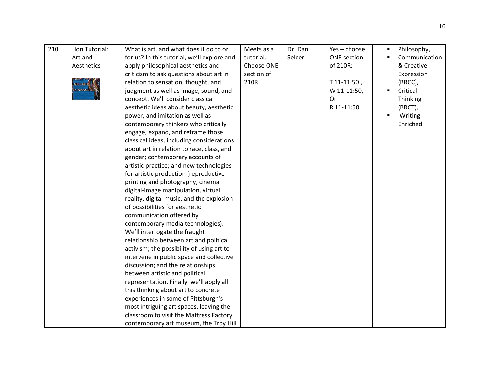| 210 | Hon Tutorial: | What is art, and what does it do to or      | Meets as a | Dr. Dan | $Yes - choose$     | Philosophy,<br>$\blacksquare$ |
|-----|---------------|---------------------------------------------|------------|---------|--------------------|-------------------------------|
|     | Art and       | for us? In this tutorial, we'll explore and | tutorial.  | Selcer  | <b>ONE</b> section | Communication                 |
|     | Aesthetics    | apply philosophical aesthetics and          | Choose ONE |         | of 210R:           | & Creative                    |
|     |               | criticism to ask questions about art in     | section of |         |                    | Expression                    |
|     |               | relation to sensation, thought, and         | 210R       |         | $T11-11:50$ ,      | (BRCC),                       |
|     | <b>MARINA</b> | judgment as well as image, sound, and       |            |         | W 11-11:50,        | Critical                      |
|     |               | concept. We'll consider classical           |            |         | <b>Or</b>          | Thinking                      |
|     |               | aesthetic ideas about beauty, aesthetic     |            |         | R 11-11:50         | (BRCT),                       |
|     |               | power, and imitation as well as             |            |         |                    | Writing-                      |
|     |               | contemporary thinkers who critically        |            |         |                    | Enriched                      |
|     |               | engage, expand, and reframe those           |            |         |                    |                               |
|     |               | classical ideas, including considerations   |            |         |                    |                               |
|     |               | about art in relation to race, class, and   |            |         |                    |                               |
|     |               | gender; contemporary accounts of            |            |         |                    |                               |
|     |               | artistic practice; and new technologies     |            |         |                    |                               |
|     |               | for artistic production (reproductive       |            |         |                    |                               |
|     |               | printing and photography, cinema,           |            |         |                    |                               |
|     |               | digital-image manipulation, virtual         |            |         |                    |                               |
|     |               | reality, digital music, and the explosion   |            |         |                    |                               |
|     |               | of possibilities for aesthetic              |            |         |                    |                               |
|     |               | communication offered by                    |            |         |                    |                               |
|     |               | contemporary media technologies).           |            |         |                    |                               |
|     |               | We'll interrogate the fraught               |            |         |                    |                               |
|     |               | relationship between art and political      |            |         |                    |                               |
|     |               | activism; the possibility of using art to   |            |         |                    |                               |
|     |               | intervene in public space and collective    |            |         |                    |                               |
|     |               | discussion; and the relationships           |            |         |                    |                               |
|     |               | between artistic and political              |            |         |                    |                               |
|     |               | representation. Finally, we'll apply all    |            |         |                    |                               |
|     |               | this thinking about art to concrete         |            |         |                    |                               |
|     |               | experiences in some of Pittsburgh's         |            |         |                    |                               |
|     |               | most intriguing art spaces, leaving the     |            |         |                    |                               |
|     |               | classroom to visit the Mattress Factory     |            |         |                    |                               |
|     |               | contemporary art museum, the Troy Hill      |            |         |                    |                               |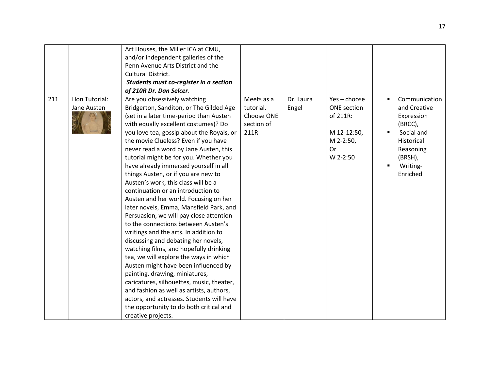|     |                              | Art Houses, the Miller ICA at CMU,<br>and/or independent galleries of the<br>Penn Avenue Arts District and the<br>Cultural District.<br>Students must co-register in a section<br>of 210R Dr. Dan Selcer.                                                                                                                                                                                                                                                                                                                                                                                                                                                                                                                                                                                                                                                                                                                                                                                                                                                                                                                   |                                                             |                    |                                                                                                |                                                                                                                                                      |
|-----|------------------------------|-----------------------------------------------------------------------------------------------------------------------------------------------------------------------------------------------------------------------------------------------------------------------------------------------------------------------------------------------------------------------------------------------------------------------------------------------------------------------------------------------------------------------------------------------------------------------------------------------------------------------------------------------------------------------------------------------------------------------------------------------------------------------------------------------------------------------------------------------------------------------------------------------------------------------------------------------------------------------------------------------------------------------------------------------------------------------------------------------------------------------------|-------------------------------------------------------------|--------------------|------------------------------------------------------------------------------------------------|------------------------------------------------------------------------------------------------------------------------------------------------------|
| 211 | Hon Tutorial:<br>Jane Austen | Are you obsessively watching<br>Bridgerton, Sanditon, or The Gilded Age<br>(set in a later time-period than Austen<br>with equally excellent costumes)? Do<br>you love tea, gossip about the Royals, or<br>the movie Clueless? Even if you have<br>never read a word by Jane Austen, this<br>tutorial might be for you. Whether you<br>have already immersed yourself in all<br>things Austen, or if you are new to<br>Austen's work, this class will be a<br>continuation or an introduction to<br>Austen and her world. Focusing on her<br>later novels, Emma, Mansfield Park, and<br>Persuasion, we will pay close attention<br>to the connections between Austen's<br>writings and the arts. In addition to<br>discussing and debating her novels,<br>watching films, and hopefully drinking<br>tea, we will explore the ways in which<br>Austen might have been influenced by<br>painting, drawing, miniatures,<br>caricatures, silhouettes, music, theater,<br>and fashion as well as artists, authors,<br>actors, and actresses. Students will have<br>the opportunity to do both critical and<br>creative projects. | Meets as a<br>tutorial.<br>Choose ONE<br>section of<br>211R | Dr. Laura<br>Engel | $Yes - choose$<br><b>ONE</b> section<br>of 211R:<br>M 12-12:50,<br>M 2-2:50,<br>Or<br>W 2-2:50 | Communication<br>$\blacksquare$<br>and Creative<br>Expression<br>(BRCC),<br>Social and<br>Historical<br>Reasoning<br>(BRSH),<br>Writing-<br>Enriched |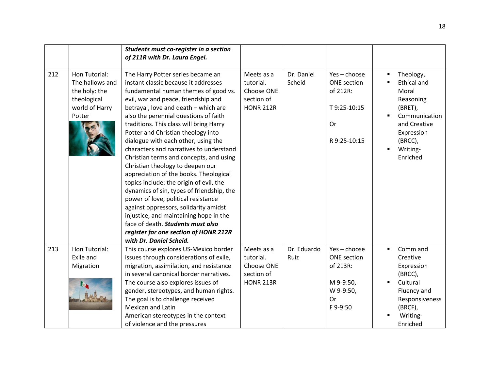|     |                                                                                              | Students must co-register in a section                                                                                                                                                                                                                                                                                                                                                                                                                                                                                                                                                                                                                                                                                                                                                                                                                           |                                                                         |                      |                                                                                |                                                                                                                                                    |
|-----|----------------------------------------------------------------------------------------------|------------------------------------------------------------------------------------------------------------------------------------------------------------------------------------------------------------------------------------------------------------------------------------------------------------------------------------------------------------------------------------------------------------------------------------------------------------------------------------------------------------------------------------------------------------------------------------------------------------------------------------------------------------------------------------------------------------------------------------------------------------------------------------------------------------------------------------------------------------------|-------------------------------------------------------------------------|----------------------|--------------------------------------------------------------------------------|----------------------------------------------------------------------------------------------------------------------------------------------------|
|     |                                                                                              | of 211R with Dr. Laura Engel.                                                                                                                                                                                                                                                                                                                                                                                                                                                                                                                                                                                                                                                                                                                                                                                                                                    |                                                                         |                      |                                                                                |                                                                                                                                                    |
|     |                                                                                              |                                                                                                                                                                                                                                                                                                                                                                                                                                                                                                                                                                                                                                                                                                                                                                                                                                                                  |                                                                         |                      |                                                                                |                                                                                                                                                    |
| 212 | Hon Tutorial:<br>The hallows and<br>the holy: the<br>theological<br>world of Harry<br>Potter | The Harry Potter series became an<br>instant classic because it addresses<br>fundamental human themes of good vs.<br>evil, war and peace, friendship and<br>betrayal, love and death - which are<br>also the perennial questions of faith<br>traditions. This class will bring Harry<br>Potter and Christian theology into<br>dialogue with each other, using the<br>characters and narratives to understand<br>Christian terms and concepts, and using<br>Christian theology to deepen our<br>appreciation of the books. Theological<br>topics include: the origin of evil, the<br>dynamics of sin, types of friendship, the<br>power of love, political resistance<br>against oppressors, solidarity amidst<br>injustice, and maintaining hope in the<br>face of death. Students must also<br>register for one section of HONR 212R<br>with Dr. Daniel Scheid. | Meets as a<br>tutorial.<br>Choose ONE<br>section of<br><b>HONR 212R</b> | Dr. Daniel<br>Scheid | $Yes - choose$<br>ONE section<br>of 212R:<br>T9:25-10:15<br>0r<br>R 9:25-10:15 | Theology,<br><b>Ethical and</b><br>Moral<br>Reasoning<br>(BRET),<br>Communication<br>and Creative<br>Expression<br>(BRCC),<br>Writing-<br>Enriched |
| 213 | Hon Tutorial:<br>Exile and<br>Migration                                                      | This course explores US-Mexico border<br>issues through considerations of exile,<br>migration, assimilation, and resistance                                                                                                                                                                                                                                                                                                                                                                                                                                                                                                                                                                                                                                                                                                                                      | Meets as a<br>tutorial.<br>Choose ONE                                   | Dr. Eduardo<br>Ruiz  | $Yes - choose$<br><b>ONE</b> section<br>of 213R:                               | Comm and<br>٠<br>Creative<br>Expression                                                                                                            |
|     |                                                                                              | in several canonical border narratives.<br>The course also explores issues of<br>gender, stereotypes, and human rights.<br>The goal is to challenge received<br><b>Mexican and Latin</b><br>American stereotypes in the context<br>of violence and the pressures                                                                                                                                                                                                                                                                                                                                                                                                                                                                                                                                                                                                 | section of<br><b>HONR 213R</b>                                          |                      | M 9-9:50,<br>W 9-9:50,<br>Or<br>F9--9:50                                       | (BRCC),<br>Cultural<br>Fluency and<br>Responsiveness<br>(BRCF),<br>Writing-<br>Enriched                                                            |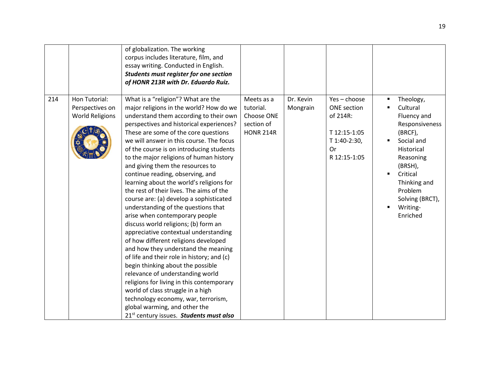|     |                                                            | of globalization. The working<br>corpus includes literature, film, and<br>essay writing. Conducted in English.<br>Students must register for one section<br>of HONR 213R with Dr. Eduardo Ruiz.                                                                                                                                                                                                                                                                                                                                                                                                                                                                                                                                                                                                                                                                                                                                                                                                                                                                                                                                            |                                                                         |                       |                                                                                                        |                                                                                                                                                                                                         |
|-----|------------------------------------------------------------|--------------------------------------------------------------------------------------------------------------------------------------------------------------------------------------------------------------------------------------------------------------------------------------------------------------------------------------------------------------------------------------------------------------------------------------------------------------------------------------------------------------------------------------------------------------------------------------------------------------------------------------------------------------------------------------------------------------------------------------------------------------------------------------------------------------------------------------------------------------------------------------------------------------------------------------------------------------------------------------------------------------------------------------------------------------------------------------------------------------------------------------------|-------------------------------------------------------------------------|-----------------------|--------------------------------------------------------------------------------------------------------|---------------------------------------------------------------------------------------------------------------------------------------------------------------------------------------------------------|
| 214 | Hon Tutorial:<br>Perspectives on<br><b>World Religions</b> | What is a "religion"? What are the<br>major religions in the world? How do we<br>understand them according to their own<br>perspectives and historical experiences?<br>These are some of the core questions<br>we will answer in this course. The focus<br>of the course is on introducing students<br>to the major religions of human history<br>and giving them the resources to<br>continue reading, observing, and<br>learning about the world's religions for<br>the rest of their lives. The aims of the<br>course are: (a) develop a sophisticated<br>understanding of the questions that<br>arise when contemporary people<br>discuss world religions; (b) form an<br>appreciative contextual understanding<br>of how different religions developed<br>and how they understand the meaning<br>of life and their role in history; and (c)<br>begin thinking about the possible<br>relevance of understanding world<br>religions for living in this contemporary<br>world of class struggle in a high<br>technology economy, war, terrorism,<br>global warming, and other the<br>21 <sup>st</sup> century issues. Students must also | Meets as a<br>tutorial.<br>Choose ONE<br>section of<br><b>HONR 214R</b> | Dr. Kevin<br>Mongrain | $Yes - choose$<br><b>ONE</b> section<br>of 214R:<br>T 12:15-1:05<br>T 1:40-2:30,<br>0r<br>R 12:15-1:05 | Theology,<br>Cultural<br>Fluency and<br>Responsiveness<br>(BRCF),<br>Social and<br>Historical<br>Reasoning<br>(BRSH),<br>Critical<br>Thinking and<br>Problem<br>Solving (BRCT),<br>Writing-<br>Enriched |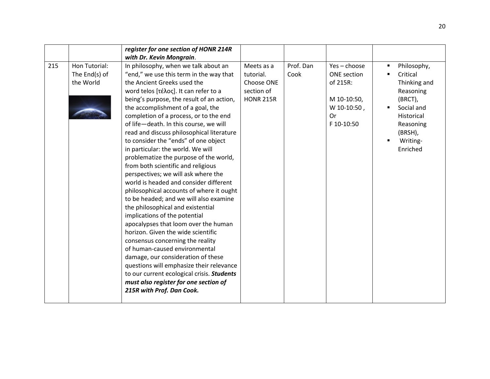|     |                                             | register for one section of HONR 214R                                                                                                                                                                                                                                                                                                                                                                                                                                                                                                                                                                                                                                                                                                                                                                                                                                                                                                                                                                                                                                                                                                         |                                                                         |                   |                                                                                             |                                                                                                                                                            |
|-----|---------------------------------------------|-----------------------------------------------------------------------------------------------------------------------------------------------------------------------------------------------------------------------------------------------------------------------------------------------------------------------------------------------------------------------------------------------------------------------------------------------------------------------------------------------------------------------------------------------------------------------------------------------------------------------------------------------------------------------------------------------------------------------------------------------------------------------------------------------------------------------------------------------------------------------------------------------------------------------------------------------------------------------------------------------------------------------------------------------------------------------------------------------------------------------------------------------|-------------------------------------------------------------------------|-------------------|---------------------------------------------------------------------------------------------|------------------------------------------------------------------------------------------------------------------------------------------------------------|
|     |                                             | with Dr. Kevin Mongrain.                                                                                                                                                                                                                                                                                                                                                                                                                                                                                                                                                                                                                                                                                                                                                                                                                                                                                                                                                                                                                                                                                                                      |                                                                         |                   |                                                                                             |                                                                                                                                                            |
| 215 | Hon Tutorial:<br>The End(s) of<br>the World | In philosophy, when we talk about an<br>"end," we use this term in the way that<br>the Ancient Greeks used the<br>word telos [τέλος]. It can refer to a<br>being's purpose, the result of an action,<br>the accomplishment of a goal, the<br>completion of a process, or to the end<br>of life-death. In this course, we will<br>read and discuss philosophical literature<br>to consider the "ends" of one object<br>in particular: the world. We will<br>problematize the purpose of the world,<br>from both scientific and religious<br>perspectives; we will ask where the<br>world is headed and consider different<br>philosophical accounts of where it ought<br>to be headed; and we will also examine<br>the philosophical and existential<br>implications of the potential<br>apocalypses that loom over the human<br>horizon. Given the wide scientific<br>consensus concerning the reality<br>of human-caused environmental<br>damage, our consideration of these<br>questions will emphasize their relevance<br>to our current ecological crisis. Students<br>must also register for one section of<br>215R with Prof. Dan Cook. | Meets as a<br>tutorial.<br>Choose ONE<br>section of<br><b>HONR 215R</b> | Prof. Dan<br>Cook | $Yes - choose$<br>ONE section<br>of 215R:<br>M 10-10:50,<br>W 10-10:50,<br>Or<br>F 10-10:50 | Philosophy,<br>٠<br>Critical<br>٠<br>Thinking and<br>Reasoning<br>(BRCT),<br>Social and<br>Historical<br>Reasoning<br>(BRSH),<br>Writing-<br>٠<br>Enriched |
|     |                                             |                                                                                                                                                                                                                                                                                                                                                                                                                                                                                                                                                                                                                                                                                                                                                                                                                                                                                                                                                                                                                                                                                                                                               |                                                                         |                   |                                                                                             |                                                                                                                                                            |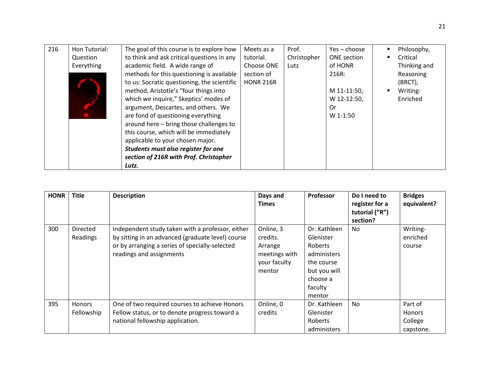| 216 | Hon Tutorial: | The goal of this course is to explore how   | Meets as a       | Prof.       | Yes – choose       | Philosophy,<br>٠ |
|-----|---------------|---------------------------------------------|------------------|-------------|--------------------|------------------|
|     | Question      | to think and ask critical questions in any  | tutorial.        | Christopher | <b>ONE</b> section | Critical         |
|     | Everything    | academic field. A wide range of             | Choose ONE       | Lutz        | of HONR            | Thinking and     |
|     |               | methods for this questioning is available   | section of       |             | 216R:              | Reasoning        |
|     |               | to us: Socratic questioning, the scientific | <b>HONR 216R</b> |             |                    | (BRCT),          |
|     |               | method, Aristotle's "four things into       |                  |             | M 11-11:50,        | Writing-         |
|     |               | which we inquire," Skeptics' modes of       |                  |             | W 12-12:50,        | Enriched         |
|     |               | argument, Descartes, and others. We         |                  |             | 0r                 |                  |
|     |               | are fond of questioning everything          |                  |             | $W$ 1-1:50         |                  |
|     |               | around here - bring those challenges to     |                  |             |                    |                  |
|     |               | this course, which will be immediately      |                  |             |                    |                  |
|     |               | applicable to your chosen major.            |                  |             |                    |                  |
|     |               | Students must also register for one         |                  |             |                    |                  |
|     |               | section of 216R with Prof. Christopher      |                  |             |                    |                  |
|     |               | Lutz.                                       |                  |             |                    |                  |

| <b>HONR</b> | <b>Title</b>                | <b>Description</b>                                                                                                                                                                  | Days and<br><b>Times</b>                                                    | <b>Professor</b>                                                                                                   | Do I need to<br>register for a<br>tutorial ("R")<br>section? | <b>Bridges</b><br>equivalent?                    |
|-------------|-----------------------------|-------------------------------------------------------------------------------------------------------------------------------------------------------------------------------------|-----------------------------------------------------------------------------|--------------------------------------------------------------------------------------------------------------------|--------------------------------------------------------------|--------------------------------------------------|
| 300         | Directed<br>Readings        | Independent study taken with a professor, either<br>by sitting in an advanced (graduate level) course<br>or by arranging a series of specially-selected<br>readings and assignments | Online, 3<br>credits.<br>Arrange<br>meetings with<br>your faculty<br>mentor | Dr. Kathleen<br>Glenister<br>Roberts<br>administers<br>the course<br>but you will<br>choose a<br>faculty<br>mentor | No.                                                          | Writing-<br>enriched<br>course                   |
| 395         | <b>Honors</b><br>Fellowship | One of two required courses to achieve Honors<br>Fellow status, or to denote progress toward a<br>national fellowship application.                                                  | Online, 0<br>credits                                                        | Dr. Kathleen<br>Glenister<br>Roberts<br>administers                                                                | <b>No</b>                                                    | Part of<br><b>Honors</b><br>College<br>capstone. |